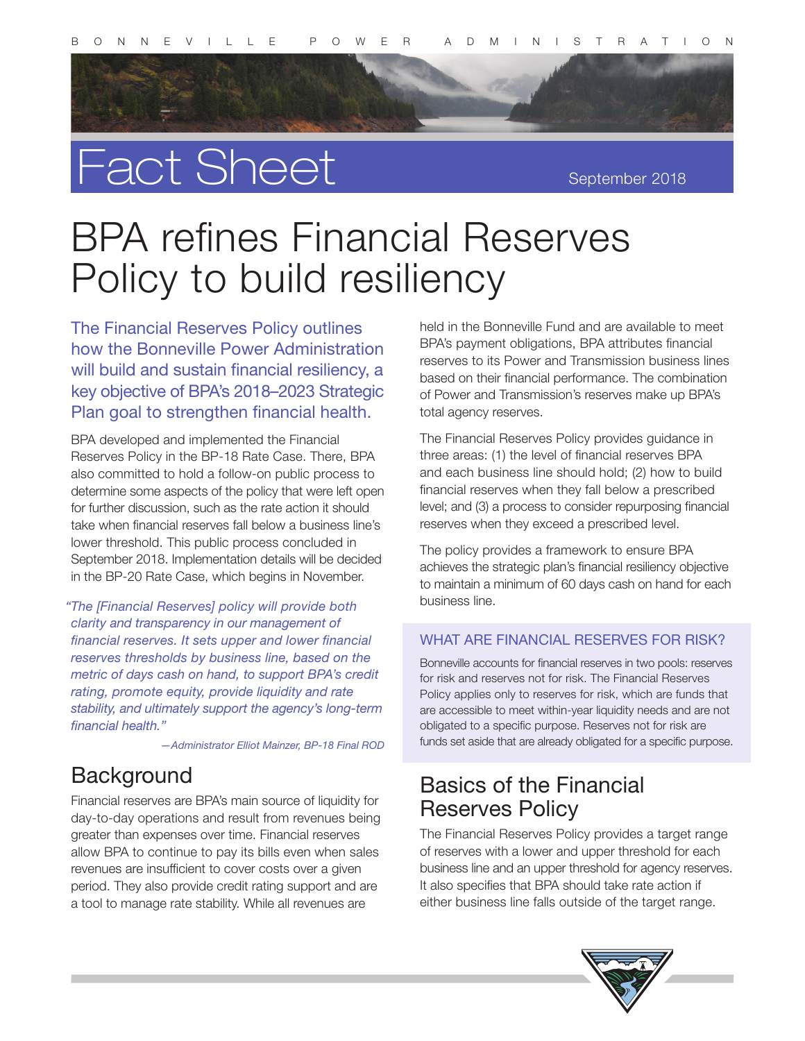

# Fact Sheet

September 2018

## BPA refines Financial Reserves Policy to build resiliency

The Financial Reserves Policy outlines how the Bonneville Power Administration will build and sustain financial resiliency, a key objective of BPA's 2018–2023 Strategic Plan goal to strengthen financial health.

BPA developed and implemented the Financial Reserves Policy in the BP-18 Rate Case. There, BPA also committed to hold a follow-on public process to determine some aspects of the policy that were left open for further discussion, such as the rate action it should take when financial reserves fall below a business line's lower threshold. This public process concluded in September 2018. Implementation details will be decided in the BP-20 Rate Case, which begins in November.

 *"The [Financial Reserves] policy will provide both clarity and transparency in our management of financial reserves. It sets upper and lower financial reserves thresholds by business line, based on the metric of days cash on hand, to support BPA's credit rating, promote equity, provide liquidity and rate stability, and ultimately support the agency's long-term financial health."*

*—Administrator Elliot Mainzer, BP-18 Final ROD*

#### **Background**

Financial reserves are BPA's main source of liquidity for day-to-day operations and result from revenues being greater than expenses over time. Financial reserves allow BPA to continue to pay its bills even when sales revenues are insufficient to cover costs over a given period. They also provide credit rating support and are a tool to manage rate stability. While all revenues are

held in the Bonneville Fund and are available to meet BPA's payment obligations, BPA attributes financial reserves to its Power and Transmission business lines based on their financial performance. The combination of Power and Transmission's reserves make up BPA's total agency reserves.

The Financial Reserves Policy provides guidance in three areas: (1) the level of financial reserves BPA and each business line should hold; (2) how to build financial reserves when they fall below a prescribed level; and (3) a process to consider repurposing financial reserves when they exceed a prescribed level.

The policy provides a framework to ensure BPA achieves the strategic plan's financial resiliency objective to maintain a minimum of 60 days cash on hand for each business line.

#### WHAT ARE FINANCIAL RESERVES FOR RISK?

Bonneville accounts for financial reserves in two pools: reserves for risk and reserves not for risk. The Financial Reserves Policy applies only to reserves for risk, which are funds that are accessible to meet within-year liquidity needs and are not obligated to a specific purpose. Reserves not for risk are funds set aside that are already obligated for a specific purpose.

## Basics of the Financial Reserves Policy

The Financial Reserves Policy provides a target range of reserves with a lower and upper threshold for each business line and an upper threshold for agency reserves. It also specifies that BPA should take rate action if either business line falls outside of the target range.